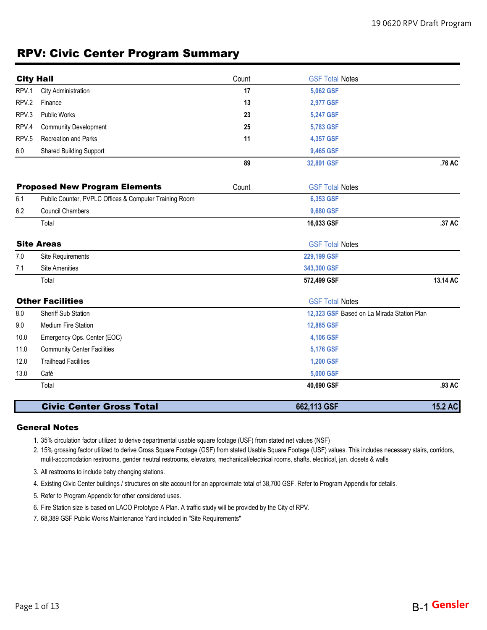## RPV: Civic Center Program Summary

| <b>City Hall</b> |                                                        | Count | <b>GSF Total Notes</b>                     |          |
|------------------|--------------------------------------------------------|-------|--------------------------------------------|----------|
| RPV.1            | City Administration                                    | 17    | 5,062 GSF                                  |          |
| RPV.2            | Finance                                                | 13    | 2,977 GSF                                  |          |
| RPV.3            | <b>Public Works</b>                                    | 23    | 5,247 GSF                                  |          |
| RPV.4            | <b>Community Development</b>                           | 25    | 5,783 GSF                                  |          |
| RPV.5            | Recreation and Parks                                   | 11    | 4,357 GSF                                  |          |
| 6.0              | <b>Shared Building Support</b>                         |       | 9,465 GSF                                  |          |
|                  |                                                        | 89    | 32,891 GSF                                 | .76 AC   |
|                  | <b>Proposed New Program Elements</b>                   | Count | <b>GSF Total Notes</b>                     |          |
| 6.1              | Public Counter, PVPLC Offices & Computer Training Room |       | 6,353 GSF                                  |          |
| 6.2              | <b>Council Chambers</b>                                |       | 9,680 GSF                                  |          |
|                  | Total                                                  |       | 16,033 GSF                                 | .37 AC   |
|                  | <b>Site Areas</b>                                      |       | <b>GSF Total Notes</b>                     |          |
| 7.0              | Site Requirements                                      |       | 229,199 GSF                                |          |
| 7.1              | <b>Site Amenities</b>                                  |       | 343,300 GSF                                |          |
|                  | Total                                                  |       | 572,499 GSF                                | 13.14 AC |
|                  | <b>Other Facilities</b>                                |       | <b>GSF Total Notes</b>                     |          |
| 8.0              | Sheriff Sub Station                                    |       | 12,323 GSF Based on La Mirada Station Plan |          |
| 9.0              | <b>Medium Fire Station</b>                             |       | 12,885 GSF                                 |          |
| 10.0             | Emergency Ops. Center (EOC)                            |       | 4,106 GSF                                  |          |
| 11.0             | <b>Community Center Facilities</b>                     |       | 5,176 GSF                                  |          |
| 12.0             | <b>Trailhead Facilities</b>                            |       | 1,200 GSF                                  |          |
| 13.0             | Café                                                   |       | 5,000 GSF                                  |          |
|                  | Total                                                  |       | 40,690 GSF                                 | .93 AC   |
|                  | <b>Civic Center Gross Total</b>                        |       | 662,113 GSF                                | 15.2 AC  |

#### General Notes

- 1. 35% circulation factor utilized to derive departmental usable square footage (USF) from stated net values (NSF)
- 2. 15% grossing factor utilized to derive Gross Square Footage (GSF) from stated Usable Square Footage (USF) values. This includes necessary stairs, corridors, mulit-accomodation restrooms, gender neutral restrooms, elevators, mechanical/electrical rooms, shafts, electrical, jan. closets & walls
- 3. All restrooms to include baby changing stations.
- 4. Existing Civic Center buildings / structures on site account for an approximate total of 38,700 GSF. Refer to Program Appendix for details.
- 5. Refer to Program Appendix for other considered uses.
- 6. Fire Station size is based on LACO Prototype A Plan. A traffic study will be provided by the City of RPV.
- 7. 68,389 GSF Public Works Maintenance Yard included in "Site Requirements"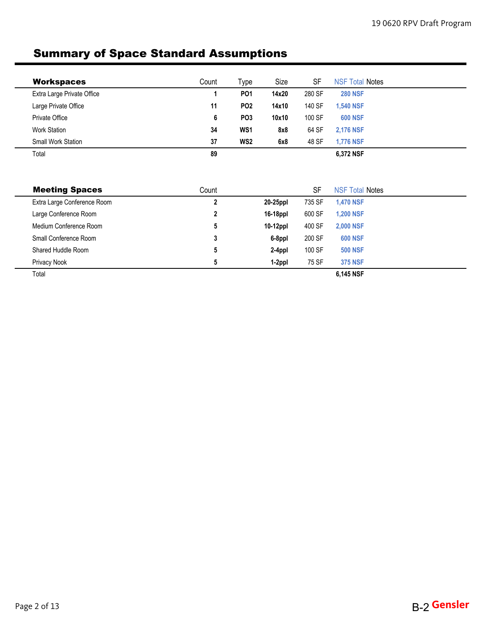# Summary of Space Standard Assumptions

| <b>Workspaces</b>          | Count | ™уре            | Size  | <b>SF</b> | <b>NSF Total Notes</b> |
|----------------------------|-------|-----------------|-------|-----------|------------------------|
| Extra Large Private Office |       | <b>PO1</b>      | 14x20 | 280 SF    | <b>280 NSF</b>         |
| Large Private Office       | 11    | PO <sub>2</sub> | 14x10 | 140 SF    | <b>1.540 NSF</b>       |
| <b>Private Office</b>      | 6     | PO <sub>3</sub> | 10x10 | 100 SF    | <b>600 NSF</b>         |
| <b>Work Station</b>        | 34    | WS <sub>1</sub> | 8x8   | 64 SF     | <b>2.176 NSF</b>       |
| <b>Small Work Station</b>  | 37    | WS <sub>2</sub> | 6x8   | 48 SF     | <b>1.776 NSF</b>       |
| Total                      | 89    |                 |       |           | 6,372 NSF              |

| <b>Meeting Spaces</b>       | Count |             | SF     | <b>NSF Total Notes</b> |  |
|-----------------------------|-------|-------------|--------|------------------------|--|
| Extra Large Conference Room | 2     | 20-25ppl    | 735 SF | <b>1.470 NSF</b>       |  |
| Large Conference Room       | 2     | 16-18ppl    | 600 SF | <b>1.200 NSF</b>       |  |
| Medium Conference Room      | 5     | $10-12$ ppl | 400 SF | <b>2,000 NSF</b>       |  |
| Small Conference Room       | 3     | 6-8ppl      | 200 SF | <b>600 NSF</b>         |  |
| Shared Huddle Room          | 5     | 2-4ppl      | 100 SF | <b>500 NSF</b>         |  |
| Privacy Nook                | 5     | 1-2ppl      | 75 SF  | <b>375 NSF</b>         |  |
| Total                       |       |             |        | 6.145 NSF              |  |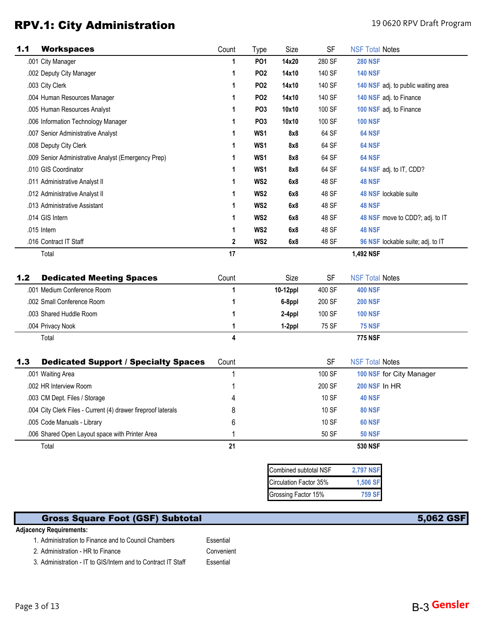## RPV.1: City Administration **190620 RPV.1: City Administration**

| 1.1 | <b>Workspaces</b>                                   | Count | Type            | Size  | <b>SF</b> | <b>NSF Total Notes</b>              |
|-----|-----------------------------------------------------|-------|-----------------|-------|-----------|-------------------------------------|
|     | .001 City Manager                                   | 1     | PO <sub>1</sub> | 14x20 | 280 SF    | <b>280 NSF</b>                      |
|     | .002 Deputy City Manager                            | 1     | PO <sub>2</sub> | 14x10 | 140 SF    | <b>140 NSF</b>                      |
|     | .003 City Clerk                                     | 1     | PO <sub>2</sub> | 14x10 | 140 SF    | 140 NSF adj. to public waiting area |
|     | .004 Human Resources Manager                        | 1     | PO <sub>2</sub> | 14x10 | 140 SF    | 140 NSF adj. to Finance             |
|     | .005 Human Resources Analyst                        | 1     | PO <sub>3</sub> | 10x10 | 100 SF    | 100 NSF adj. to Finance             |
|     | .006 Information Technology Manager                 | 1     | PO <sub>3</sub> | 10x10 | 100 SF    | <b>100 NSF</b>                      |
|     | .007 Senior Administrative Analyst                  | 1     | WS1             | 8x8   | 64 SF     | 64 NSF                              |
|     | .008 Deputy City Clerk                              |       | WS1             | 8x8   | 64 SF     | <b>64 NSF</b>                       |
|     | .009 Senior Administrative Analyst (Emergency Prep) |       | WS1             | 8x8   | 64 SF     | <b>64 NSF</b>                       |
|     | .010 GIS Coordinator                                |       | WS1             | 8x8   | 64 SF     | 64 NSF adj. to IT, CDD?             |
|     | .011 Administrative Analyst II                      | 1     | WS <sub>2</sub> | 6x8   | 48 SF     | <b>48 NSF</b>                       |
|     | .012 Administrative Analyst II                      | 1     | WS <sub>2</sub> | 6x8   | 48 SF     | 48 NSF lockable suite               |
|     | .013 Administrative Assistant                       | 1     | WS <sub>2</sub> | 6x8   | 48 SF     | <b>48 NSF</b>                       |
|     | .014 GIS Intern                                     |       | WS <sub>2</sub> | 6x8   | 48 SF     | 48 NSF move to CDD?; adj. to IT     |
|     | .015 Intern                                         | 1     | WS <sub>2</sub> | 6x8   | 48 SF     | <b>48 NSF</b>                       |
|     | .016 Contract IT Staff                              | 2     | WS <sub>2</sub> | 6x8   | 48 SF     | 96 NSF lockable suite; adj. to IT   |
|     | Total                                               | 17    |                 |       |           | 1,492 NSF                           |

| 1.2<br><b>Dedicated Meeting Spaces</b> | Count | Size     | <b>SF</b> | <b>NSF Total Notes</b> |  |
|----------------------------------------|-------|----------|-----------|------------------------|--|
| .001 Medium Conference Room            |       | 10-12ppl | 400 SF    | <b>400 NSF</b>         |  |
| .002 Small Conference Room             |       | 6-8ppl   | 200 SF    | <b>200 NSF</b>         |  |
| .003 Shared Huddle Room                |       | 2-4ppl   | 100 SF    | <b>100 NSF</b>         |  |
| .004 Privacy Nook                      |       | 1-2ppl   | 75 SF     | <b>75 NSF</b>          |  |
| Total                                  | 4     |          |           | <b>775 NSF</b>         |  |

| 1.3 | <b>Dedicated Support / Specialty Spaces</b>                   | Count | SF     | <b>NSF Total Notes</b>   |  |
|-----|---------------------------------------------------------------|-------|--------|--------------------------|--|
|     | .001 Waiting Area                                             |       | 100 SF | 100 NSF for City Manager |  |
|     | .002 HR Interview Room                                        |       | 200 SF | <b>200 NSF In HR</b>     |  |
|     | .003 CM Dept. Files / Storage                                 | 4     | 10 SF  | <b>40 NSF</b>            |  |
|     | .004 City Clerk Files - Current (4) drawer fireproof laterals | 8     | 10 SF  | <b>80 NSF</b>            |  |
|     | .005 Code Manuals - Library                                   | 6     | 10 SF  | <b>60 NSF</b>            |  |
|     | .006 Shared Open Layout space with Printer Area               |       | 50 SF  | <b>50 NSF</b>            |  |
|     | Total                                                         | 21    |        | <b>530 NSF</b>           |  |

| Combined subtotal NSF  | <b>2,797 NSF</b> |
|------------------------|------------------|
| Circulation Factor 35% | 1.506 SF         |
| Grossing Factor 15%    | <b>759 SI</b>    |

## Gross Square Foot (GSF) Subtotal 5,062 GSF

#### **Adjacency Requirements:**

1. Administration to Finance and to Council Chambers Essential

2. Administration - HR to Finance Convenient

3. Administration - IT to GIS/Intern and to Contract IT Staff Essential

Page 3 of 13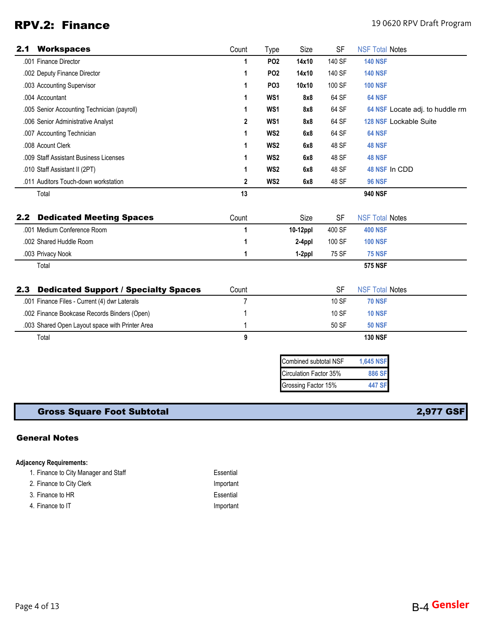## RPV.2: Finance 19 0620 RPV Draft Program

| 2.1 | <b>Workspaces</b>                               | Count       | Type            | Size                   | <b>SF</b> | <b>NSF Total Notes</b>          |
|-----|-------------------------------------------------|-------------|-----------------|------------------------|-----------|---------------------------------|
|     | .001 Finance Director                           | 1           | PO <sub>2</sub> | 14x10                  | 140 SF    | <b>140 NSF</b>                  |
|     | .002 Deputy Finance Director                    | 1           | PO <sub>2</sub> | 14x10                  | 140 SF    | <b>140 NSF</b>                  |
|     | .003 Accounting Supervisor                      | 1           | PO <sub>3</sub> | 10x10                  | 100 SF    | <b>100 NSF</b>                  |
|     | .004 Accountant                                 | 1           | WS1             | 8x8                    | 64 SF     | 64 NSF                          |
|     | .005 Senior Accounting Technician (payroll)     | 1           | WS1             | 8x8                    | 64 SF     | 64 NSF Locate adj. to huddle rm |
|     | .006 Senior Administrative Analyst              | 2           | WS1             | 8x8                    | 64 SF     | 128 NSF Lockable Suite          |
|     | .007 Accounting Technician                      | 1           | WS2             | 6x8                    | 64 SF     | 64 NSF                          |
|     | .008 Acount Clerk                               | 1           | WS2             | 6x8                    | 48 SF     | 48 NSF                          |
|     | .009 Staff Assistant Business Licenses          | 1           | WS <sub>2</sub> | 6x8                    | 48 SF     | <b>48 NSF</b>                   |
|     | .010 Staff Assistant II (2PT)                   | 1           | WS2             | 6x8                    | 48 SF     | 48 NSF In CDD                   |
|     | .011 Auditors Touch-down workstation            | $\mathbf 2$ | WS2             | 6x8                    | 48 SF     | <b>96 NSF</b>                   |
|     | Total                                           | 13          |                 |                        |           | <b>940 NSF</b>                  |
| 2.2 | <b>Dedicated Meeting Spaces</b>                 | Count       |                 | Size                   | <b>SF</b> | <b>NSF Total Notes</b>          |
|     | .001 Medium Conference Room                     | 1           |                 | 10-12ppl               | 400 SF    | <b>400 NSF</b>                  |
|     | .002 Shared Huddle Room                         | 1           |                 | 2-4ppl                 | 100 SF    | <b>100 NSF</b>                  |
|     | .003 Privacy Nook                               | 1           |                 | 1-2ppl                 | 75 SF     | <b>75 NSF</b>                   |
|     | Total                                           |             |                 |                        |           | <b>575 NSF</b>                  |
| 2.3 | <b>Dedicated Support / Specialty Spaces</b>     | Count       |                 |                        | <b>SF</b> | <b>NSF Total Notes</b>          |
|     | .001 Finance Files - Current (4) dwr Laterals   | 7           |                 |                        | 10 SF     | <b>70 NSF</b>                   |
|     | .002 Finance Bookcase Records Binders (Open)    | 1           |                 |                        | 10 SF     | <b>10 NSF</b>                   |
|     | .003 Shared Open Layout space with Printer Area | 1           |                 |                        | 50 SF     | <b>50 NSF</b>                   |
|     | Total                                           | 9           |                 |                        |           | <b>130 NSF</b>                  |
|     |                                                 |             |                 | Combined subtotal NSF  |           | <b>1,645 NSF</b>                |
|     |                                                 |             |                 | Circulation Factor 35% |           | 886 SF                          |
|     |                                                 |             |                 | Grossing Factor 15%    |           | <b>447 SF</b>                   |
|     |                                                 |             |                 |                        |           |                                 |

## Gross Square Foot Subtotal 2,977 GSF

### General Notes

#### **Adjacency Requirements:**

| 1. Finance to City Manager and Staff | Essential |
|--------------------------------------|-----------|
| 2. Finance to City Clerk             | Important |
| 3. Finance to HR                     | Essential |
| 4. Finance to IT                     | Important |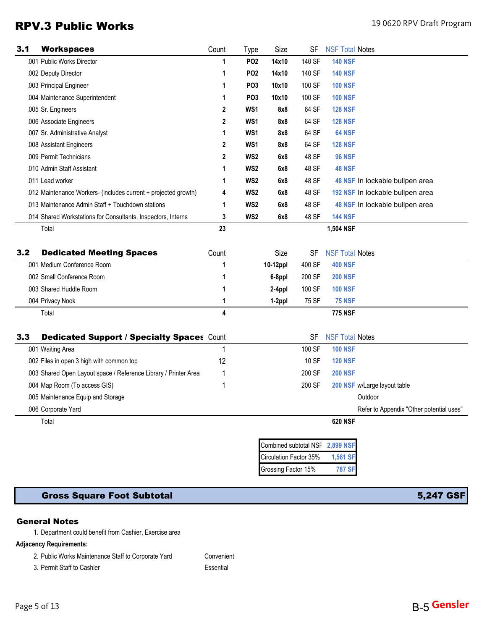## RPV.3 Public Works **19 0620 RPV.3 Public Works**

| 3.1 | <b>Workspaces</b>                                                | Count | Type            | Size                   | SF     | <b>NSF Total Notes</b>          |                                          |
|-----|------------------------------------------------------------------|-------|-----------------|------------------------|--------|---------------------------------|------------------------------------------|
|     | .001 Public Works Director                                       | 1     | PO <sub>2</sub> | 14x10                  | 140 SF | <b>140 NSF</b>                  |                                          |
|     | .002 Deputy Director                                             | 1     | PO <sub>2</sub> | 14x10                  | 140 SF | <b>140 NSF</b>                  |                                          |
|     | .003 Principal Engineer                                          | 1     | PO <sub>3</sub> | 10x10                  | 100 SF | <b>100 NSF</b>                  |                                          |
|     | .004 Maintenance Superintendent                                  | 1     | PO <sub>3</sub> | 10x10                  | 100 SF | <b>100 NSF</b>                  |                                          |
|     | .005 Sr. Engineers                                               | 2     | WS1             | 8x8                    | 64 SF  | <b>128 NSF</b>                  |                                          |
|     | .006 Associate Engineers                                         | 2     | WS1             | 8x8                    | 64 SF  | <b>128 NSF</b>                  |                                          |
|     | .007 Sr. Administrative Analyst                                  | 1     | WS1             | 8x8                    | 64 SF  | 64 NSF                          |                                          |
|     | .008 Assistant Engineers                                         | 2     | WS1             | 8x8                    | 64 SF  | <b>128 NSF</b>                  |                                          |
|     | .009 Permit Technicians                                          | 2     | WS <sub>2</sub> | 6x8                    | 48 SF  | <b>96 NSF</b>                   |                                          |
|     | .010 Admin Staff Assistant                                       | 1     | WS <sub>2</sub> | 6x8                    | 48 SF  | <b>48 NSF</b>                   |                                          |
|     | .011 Lead worker                                                 | 1     | WS <sub>2</sub> | 6x8                    | 48 SF  |                                 | 48 NSF In lockable bullpen area          |
|     | .012 Maintenance Workers- (includes current + projected growth)  | 4     | WS <sub>2</sub> | 6x8                    | 48 SF  |                                 | 192 NSF In lockable bullpen area         |
|     | .013 Maintenance Admin Staff + Touchdown stations                | 1     | WS <sub>2</sub> | 6x8                    | 48 SF  |                                 | 48 NSF In lockable bullpen area          |
|     | .014 Shared Workstations for Consultants, Inspectors, Interns    | 3     | WS <sub>2</sub> | 6x8                    | 48 SF  | <b>144 NSF</b>                  |                                          |
|     | Total                                                            | 23    |                 |                        |        | 1,504 NSF                       |                                          |
|     |                                                                  |       |                 |                        |        |                                 |                                          |
| 3.2 | <b>Dedicated Meeting Spaces</b>                                  | Count |                 | Size                   | SF     | <b>NSF Total Notes</b>          |                                          |
|     | .001 Medium Conference Room                                      | 1     |                 | 10-12ppl               | 400 SF | <b>400 NSF</b>                  |                                          |
|     | .002 Small Conference Room                                       | 1     |                 | 6-8ppl                 | 200 SF | <b>200 NSF</b>                  |                                          |
|     | .003 Shared Huddle Room                                          | 1     |                 | 2-4ppl                 | 100 SF | <b>100 NSF</b>                  |                                          |
|     | .004 Privacy Nook                                                | 1     |                 | 1-2ppl                 | 75 SF  | <b>75 NSF</b>                   |                                          |
|     | Total                                                            | 4     |                 |                        |        | <b>775 NSF</b>                  |                                          |
|     |                                                                  |       |                 |                        |        |                                 |                                          |
| 3.3 | <b>Dedicated Support / Specialty Spaces Count</b>                |       |                 |                        | SF     | <b>NSF Total Notes</b>          |                                          |
|     | .001 Waiting Area                                                | 1     |                 |                        | 100 SF | <b>100 NSF</b>                  |                                          |
|     | .002 Files in open 3 high with common top                        | 12    |                 |                        | 10 SF  | <b>120 NSF</b>                  |                                          |
|     | .003 Shared Open Layout space / Reference Library / Printer Area | 1     |                 |                        | 200 SF | <b>200 NSF</b>                  |                                          |
|     | .004 Map Room (To access GIS)                                    | 1     |                 |                        | 200 SF |                                 | 200 NSF w/Large layout table             |
|     | .005 Maintenance Equip and Storage                               |       |                 |                        |        |                                 | Outdoor                                  |
|     | .006 Corporate Yard                                              |       |                 |                        |        |                                 | Refer to Appendix "Other potential uses" |
|     | Total                                                            |       |                 |                        |        | <b>620 NSF</b>                  |                                          |
|     |                                                                  |       |                 |                        |        |                                 |                                          |
|     |                                                                  |       |                 |                        |        | Combined subtotal NSF 2,899 NSF |                                          |
|     |                                                                  |       |                 | Circulation Factor 35% |        | 1,561 SF                        |                                          |
|     |                                                                  |       |                 | Grossing Factor 15%    |        | <b>787 SF</b>                   |                                          |

### Gross Square Foot Subtotal 5,247 GSF

### General Notes

1. Department could benefit from Cashier, Exercise area

#### **Adjacency Requirements:**

2. Public Works Maintenance Staff to Corporate Yard Convenient

3. Permit Staff to Cashier **Essential**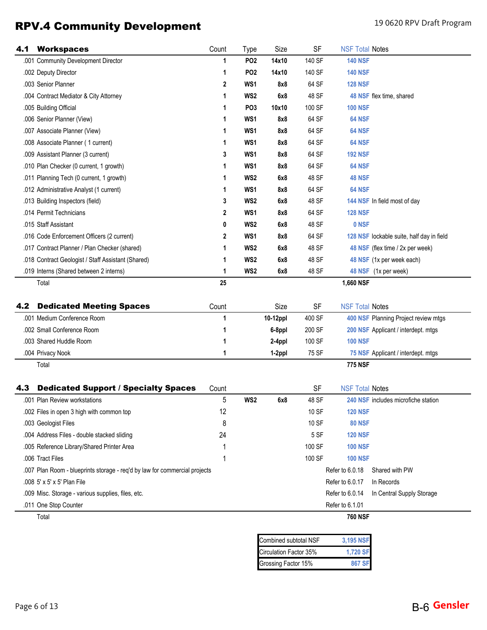# RPV.4 Community Development 190620 RPV Draft Program

| 4.1 | <b>Workspaces</b>                                                          | Count        | Type            | Size     | SF     | <b>NSF Total Notes</b> |                                           |
|-----|----------------------------------------------------------------------------|--------------|-----------------|----------|--------|------------------------|-------------------------------------------|
|     | .001 Community Development Director                                        | 1            | <b>PO2</b>      | 14x10    | 140 SF | <b>140 NSF</b>         |                                           |
|     | .002 Deputy Director                                                       | 1            | PO <sub>2</sub> | 14x10    | 140 SF | <b>140 NSF</b>         |                                           |
|     | .003 Senior Planner                                                        | $\mathbf{2}$ | WS <sub>1</sub> | 8x8      | 64 SF  | <b>128 NSF</b>         |                                           |
|     | .004 Contract Mediator & City Attorney                                     | 1            | WS <sub>2</sub> | 6x8      | 48 SF  |                        | 48 NSF flex time, shared                  |
|     | .005 Building Official                                                     | 1            | PO <sub>3</sub> | 10x10    | 100 SF | <b>100 NSF</b>         |                                           |
|     | .006 Senior Planner (View)                                                 | 1            | WS1             | 8x8      | 64 SF  | 64 NSF                 |                                           |
|     | .007 Associate Planner (View)                                              | 1            | WS1             | 8x8      | 64 SF  | 64 NSF                 |                                           |
|     | .008 Associate Planner (1 current)                                         | 1            | WS1             | 8x8      | 64 SF  | 64 NSF                 |                                           |
|     | .009 Assistant Planner (3 current)                                         | 3            | WS1             | 8x8      | 64 SF  | <b>192 NSF</b>         |                                           |
|     | .010 Plan Checker (0 current, 1 growth)                                    | 1            | WS1             | 8x8      | 64 SF  | 64 NSF                 |                                           |
|     | .011 Planning Tech (0 current, 1 growth)                                   | 1            | WS <sub>2</sub> | 6x8      | 48 SF  | <b>48 NSF</b>          |                                           |
|     | .012 Administrative Analyst (1 current)                                    | 1            | WS1             | 8x8      | 64 SF  | 64 NSF                 |                                           |
|     | .013 Building Inspectors (field)                                           | 3            | WS <sub>2</sub> | 6x8      | 48 SF  |                        | 144 NSF In field most of day              |
|     | .014 Permit Technicians                                                    | 2            | WS1             | 8x8      | 64 SF  | <b>128 NSF</b>         |                                           |
|     | .015 Staff Assistant                                                       | 0            | WS <sub>2</sub> | 6x8      | 48 SF  | 0 NSF                  |                                           |
|     | .016 Code Enforcement Officers (2 current)                                 | 2            | WS1             | 8x8      | 64 SF  |                        | 128 NSF lockable suite, half day in field |
|     | .017 Contract Planner / Plan Checker (shared)                              | 1            | WS <sub>2</sub> | 6x8      | 48 SF  |                        | 48 NSF (flex time / 2x per week)          |
|     | .018 Contract Geologist / Staff Assistant (Shared)                         | 1            | WS <sub>2</sub> | 6x8      | 48 SF  |                        | 48 NSF (1x per week each)                 |
|     | .019 Interns (Shared between 2 interns)                                    | 1            | WS <sub>2</sub> | 6x8      | 48 SF  |                        | 48 NSF (1x per week)                      |
|     | Total                                                                      | 25           |                 |          |        | 1,660 NSF              |                                           |
|     |                                                                            |              |                 |          |        |                        |                                           |
| 4.2 | <b>Dedicated Meeting Spaces</b>                                            | Count        |                 | Size     | SF     | <b>NSF Total Notes</b> |                                           |
|     | .001 Medium Conference Room                                                | 1            |                 | 10-12ppl | 400 SF |                        | 400 NSF Planning Project review mtgs      |
|     | .002 Small Conference Room                                                 | 1            |                 | 6-8ppl   | 200 SF |                        | 200 NSF Applicant / interdept. mtgs       |
|     | .003 Shared Huddle Room                                                    | 1            |                 | 2-4ppl   | 100 SF | <b>100 NSF</b>         |                                           |
|     | .004 Privacy Nook                                                          | 1            |                 | 1-2ppl   | 75 SF  |                        | 75 NSF Applicant / interdept. mtgs        |
|     | Total                                                                      |              |                 |          |        | <b>775 NSF</b>         |                                           |
|     |                                                                            |              |                 |          |        |                        |                                           |
| 4.3 | <b>Dedicated Support / Specialty Spaces</b>                                | Count        |                 |          | SF     | <b>NSF Total Notes</b> |                                           |
|     | .001 Plan Review workstations                                              | 5            | WS <sub>2</sub> | 6x8      | 48 SF  |                        | 240 NSF includes microfiche station       |
|     | .002 Files in open 3 high with common top                                  | 12           |                 |          | 10 SF  | <b>120 NSF</b>         |                                           |
|     | .003 Geologist Files                                                       | 8            |                 |          | 10 SF  | <b>80 NSF</b>          |                                           |
|     | .004 Address Files - double stacked sliding                                | 24           |                 |          | 5 SF   | <b>120 NSF</b>         |                                           |
|     | .005 Reference Library/Shared Printer Area                                 |              |                 |          | 100 SF | <b>100 NSF</b>         |                                           |
|     | .006 Tract Files                                                           | 1            |                 |          | 100 SF | <b>100 NSF</b>         |                                           |
|     | .007 Plan Room - blueprints storage - req'd by law for commercial projects |              |                 |          |        | Refer to 6.0.18        | Shared with PW                            |
|     | .008 5' x 5' x 5' Plan File                                                |              |                 |          |        | Refer to 6.0.17        | In Records                                |
|     | .009 Misc. Storage - various supplies, files, etc.                         |              |                 |          |        | Refer to 6.0.14        | In Central Supply Storage                 |
|     | .011 One Stop Counter                                                      |              |                 |          |        | Refer to 6.1.01        |                                           |
|     | Total                                                                      |              |                 |          |        | <b>760 NSF</b>         |                                           |

| Combined subtotal NSF  | 3,195 NSF |
|------------------------|-----------|
| Circulation Factor 35% | 1.720 SF  |
| Grossing Factor 15%    | 867 SF    |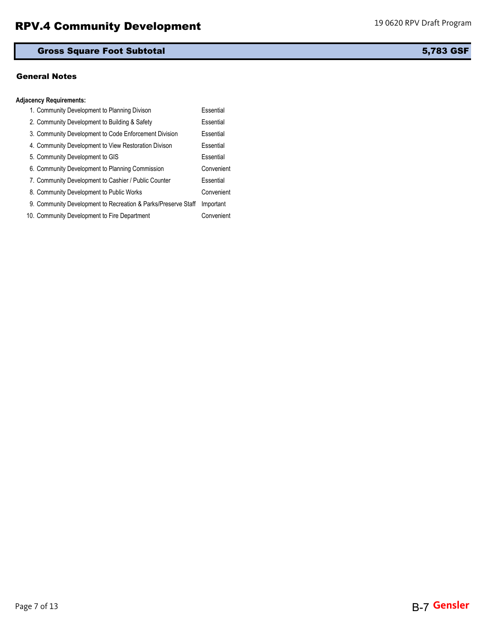### Gross Square Foot Subtotal 5,783 GSF

#### General Notes

### **Adjacency Requirements:**

| 1. Community Development to Planning Divison                  | Essential  |
|---------------------------------------------------------------|------------|
| 2. Community Development to Building & Safety                 | Essential  |
| 3. Community Development to Code Enforcement Division         | Essential  |
| 4. Community Development to View Restoration Divison          | Essential  |
| 5. Community Development to GIS                               | Essential  |
| 6. Community Development to Planning Commission               | Convenient |
| 7. Community Development to Cashier / Public Counter          | Essential  |
| 8. Community Development to Public Works                      | Convenient |
| 9. Community Development to Recreation & Parks/Preserve Staff | Important  |
| 10. Community Development to Fire Department                  | Convenient |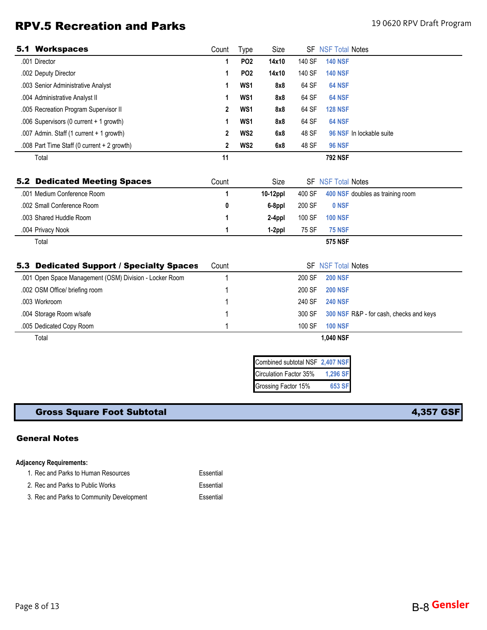# RPV.5 Recreation and Parks 190620 RPV Draft Program

|     | <b>5.1 Workspaces</b>                                   | Count | Type            | Size                            |        | <b>SF NSF Total Notes</b> |                                         |
|-----|---------------------------------------------------------|-------|-----------------|---------------------------------|--------|---------------------------|-----------------------------------------|
|     | .001 Director                                           | 1     | PO <sub>2</sub> | 14x10                           | 140 SF | <b>140 NSF</b>            |                                         |
|     | .002 Deputy Director                                    | 1     | PO <sub>2</sub> | 14x10                           | 140 SF | <b>140 NSF</b>            |                                         |
|     | .003 Senior Administrative Analyst                      | 1     | WS <sub>1</sub> | 8x8                             | 64 SF  | 64 NSF                    |                                         |
|     | .004 Administrative Analyst II                          | 1     | WS <sub>1</sub> | 8x8                             | 64 SF  | 64 NSF                    |                                         |
|     | .005 Recreation Program Supervisor II                   | 2     | WS <sub>1</sub> | 8x8                             | 64 SF  | <b>128 NSF</b>            |                                         |
|     | .006 Supervisors (0 current + 1 growth)                 | 1     | WS <sub>1</sub> | 8x8                             | 64 SF  | 64 NSF                    |                                         |
|     | .007 Admin. Staff (1 current + 1 growth)                | 2     | WS <sub>2</sub> | 6x8                             | 48 SF  |                           | 96 NSF In lockable suite                |
|     | .008 Part Time Staff (0 current + 2 growth)             | 2     | WS2             | 6x8                             | 48 SF  | <b>96 NSF</b>             |                                         |
|     | Total                                                   | 11    |                 |                                 |        | <b>792 NSF</b>            |                                         |
|     |                                                         |       |                 |                                 |        |                           |                                         |
| 5.2 | <b>Dedicated Meeting Spaces</b>                         | Count |                 | Size                            |        | <b>SF NSF Total Notes</b> |                                         |
|     | .001 Medium Conference Room                             | 1     |                 | 10-12ppl                        | 400 SF |                           | 400 NSF doubles as training room        |
|     | .002 Small Conference Room                              | 0     |                 | 6-8ppl                          | 200 SF | 0 NSF                     |                                         |
|     | .003 Shared Huddle Room                                 | 1     |                 | 2-4ppl                          | 100 SF | <b>100 NSF</b>            |                                         |
|     | .004 Privacy Nook                                       | 1     |                 | 1-2ppl                          | 75 SF  | <b>75 NSF</b>             |                                         |
|     | Total                                                   |       |                 |                                 |        | <b>575 NSF</b>            |                                         |
|     |                                                         |       |                 |                                 |        |                           |                                         |
|     | 5.3 Dedicated Support / Specialty Spaces                | Count |                 |                                 |        | <b>SF NSF Total Notes</b> |                                         |
|     | .001 Open Space Management (OSM) Division - Locker Room |       |                 |                                 | 200 SF | <b>200 NSF</b>            |                                         |
|     | .002 OSM Office/ briefing room                          |       |                 |                                 | 200 SF | <b>200 NSF</b>            |                                         |
|     | .003 Workroom                                           |       |                 |                                 | 240 SF | <b>240 NSF</b>            |                                         |
|     | .004 Storage Room w/safe                                |       |                 |                                 | 300 SF |                           | 300 NSF R&P - for cash, checks and keys |
|     | .005 Dedicated Copy Room                                |       |                 |                                 | 100 SF | <b>100 NSF</b>            |                                         |
|     | Total                                                   |       |                 |                                 |        | 1,040 NSF                 |                                         |
|     |                                                         |       |                 |                                 |        |                           |                                         |
|     |                                                         |       |                 | Combined subtotal NSF 2,407 NSF |        |                           |                                         |
|     |                                                         |       |                 | Circulation Factor 35%          |        | 1,296 SF                  |                                         |
|     |                                                         |       |                 | Grossing Factor 15%             |        | 653 SF                    |                                         |

## Gross Square Foot Subtotal **4,357 GSF**

### General Notes

### **Adjacency Requirements:**

| 1. Rec and Parks to Human Resources       | Essential |
|-------------------------------------------|-----------|
| 2. Rec and Parks to Public Works          | Essential |
| 3. Rec and Parks to Community Development | Essential |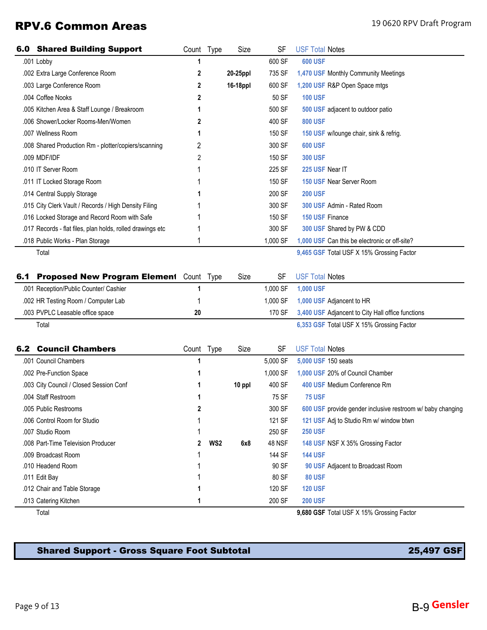## RPV.6 Common Areas 19 0620 RPV Draft Program

|     | <b>6.0 Shared Building Support</b>                         | Count Type |                 | Size     | <b>SF</b>     | <b>USF Total Notes</b>                                     |
|-----|------------------------------------------------------------|------------|-----------------|----------|---------------|------------------------------------------------------------|
|     | .001 Lobby                                                 | 1          |                 |          | 600 SF        | <b>600 USF</b>                                             |
|     | .002 Extra Large Conference Room                           | 2          |                 | 20-25ppl | 735 SF        | 1,470 USF Monthly Community Meetings                       |
|     | .003 Large Conference Room                                 | 2          |                 | 16-18ppl | 600 SF        | 1,200 USF R&P Open Space mtgs                              |
|     | .004 Coffee Nooks                                          | 2          |                 |          | 50 SF         | <b>100 USF</b>                                             |
|     | .005 Kitchen Area & Staff Lounge / Breakroom               | 1          |                 |          | 500 SF        | 500 USF adjacent to outdoor patio                          |
|     | .006 Shower/Locker Rooms-Men/Women                         | 2          |                 |          | 400 SF        | <b>800 USF</b>                                             |
|     | .007 Wellness Room                                         | 1          |                 |          | 150 SF        | 150 USF w/lounge chair, sink & refrig.                     |
|     | .008 Shared Production Rm - plotter/copiers/scanning       | 2          |                 |          | 300 SF        | <b>600 USF</b>                                             |
|     | .009 MDF/IDF                                               | 2          |                 |          | 150 SF        | <b>300 USF</b>                                             |
|     | .010 IT Server Room                                        |            |                 |          | 225 SF        | 225 USF Near IT                                            |
|     | .011 IT Locked Storage Room                                |            |                 |          | 150 SF        | 150 USF Near Server Room                                   |
|     | .014 Central Supply Storage                                |            |                 |          | 200 SF        | <b>200 USF</b>                                             |
|     | .015 City Clerk Vault / Records / High Density Filing      |            |                 |          | 300 SF        | 300 USF Admin - Rated Room                                 |
|     | .016 Locked Storage and Record Room with Safe              |            |                 |          | 150 SF        | 150 USF Finance                                            |
|     | .017 Records - flat files, plan holds, rolled drawings etc |            |                 |          | 300 SF        | 300 USF Shared by PW & CDD                                 |
|     | .018 Public Works - Plan Storage                           | 1          |                 |          | 1,000 SF      | 1,000 USF Can this be electronic or off-site?              |
|     | Total                                                      |            |                 |          |               | 9,465 GSF Total USF X 15% Grossing Factor                  |
|     |                                                            |            |                 |          |               |                                                            |
| 6.1 | Proposed New Program Element Count Type                    |            |                 | Size     | <b>SF</b>     | <b>USF Total Notes</b>                                     |
|     | .001 Reception/Public Counter/ Cashier                     | 1          |                 |          | 1,000 SF      | 1,000 USF                                                  |
|     | .002 HR Testing Room / Computer Lab                        | 1          |                 |          | 1,000 SF      | 1,000 USF Adjancent to HR                                  |
|     | .003 PVPLC Leasable office space                           | 20         |                 |          | 170 SF        | 3,400 USF Adjancent to City Hall office functions          |
|     | Total                                                      |            |                 |          |               | 6,353 GSF Total USF X 15% Grossing Factor                  |
|     |                                                            |            |                 |          |               |                                                            |
| 6.2 | <b>Council Chambers</b>                                    | Count Type |                 | Size     | <b>SF</b>     | <b>USF Total Notes</b>                                     |
|     | .001 Council Chambers                                      | 1          |                 |          | 5,000 SF      | 5,000 USF 150 seats                                        |
|     | .002 Pre-Function Space                                    | 1          |                 |          | 1,000 SF      | 1,000 USF 20% of Council Chamber                           |
|     | .003 City Council / Closed Session Conf                    | 1          |                 | 10 ppl   | 400 SF        | 400 USF Medium Conference Rm                               |
|     | .004 Staff Restroom                                        | 1          |                 |          | 75 SF         | <b>75 USF</b>                                              |
|     | .005 Public Restrooms                                      | 2          |                 |          | 300 SF        | 600 USF provide gender inclusive restroom w/ baby changing |
|     | .006 Control Room for Studio                               |            |                 |          | 121 SF        | 121 USF Adj to Studio Rm w/ window btwn                    |
|     | .007 Studio Room                                           |            |                 |          | 250 SF        | <b>250 USF</b>                                             |
|     | .008 Part-Time Television Producer                         | 2          | WS <sub>2</sub> | 6x8      | <b>48 NSF</b> | 148 USF NSF X 35% Grossing Factor                          |
|     | .009 Broadcast Room                                        |            |                 |          | 144 SF        | <b>144 USF</b>                                             |
|     | .010 Headend Room                                          |            |                 |          | 90 SF         | 90 USF Adjacent to Broadcast Room                          |
|     | .011 Edit Bay                                              |            |                 |          | 80 SF         | <b>80 USF</b>                                              |
|     | .012 Chair and Table Storage                               |            |                 |          | 120 SF        | <b>120 USF</b>                                             |
|     | .013 Catering Kitchen                                      | 1          |                 |          | 200 SF        | <b>200 USF</b>                                             |
|     | Total                                                      |            |                 |          |               | 9,680 GSF Total USF X 15% Grossing Factor                  |

## Shared Support - Gross Square Foot Subtotal 25,497 GSF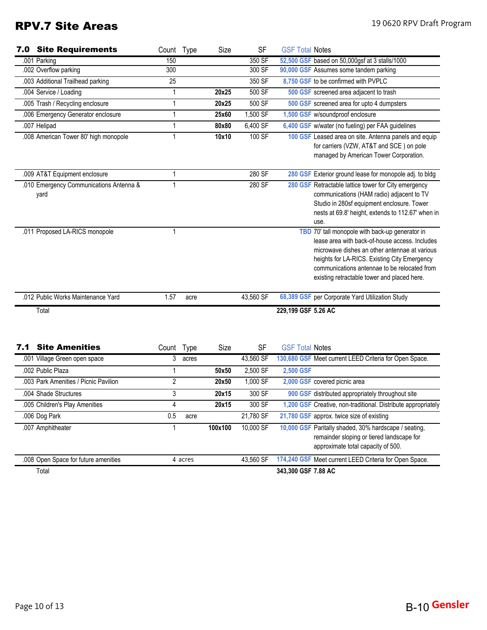# RPV.7 Site Areas 19 0620 RPV Draft Program

|     | <b>7.0 Site Requirements</b>                    | Count Type     |         | Size    | <b>SF</b> | <b>GSF Total Notes</b> |                                                                                                                                                                                                                                                                                                   |
|-----|-------------------------------------------------|----------------|---------|---------|-----------|------------------------|---------------------------------------------------------------------------------------------------------------------------------------------------------------------------------------------------------------------------------------------------------------------------------------------------|
|     | .001 Parking                                    | 150            |         |         | 350 SF    |                        | 52,500 GSF based on 50,000gsf at 3 stalls/1000                                                                                                                                                                                                                                                    |
|     | .002 Overflow parking                           | 300            |         |         | 300 SF    |                        | 90,000 GSF Assumes some tandem parking                                                                                                                                                                                                                                                            |
|     | .003 Additional Trailhead parking               | 25             |         |         | 350 SF    |                        | 8,750 GSF to be confirmed with PVPLC                                                                                                                                                                                                                                                              |
|     | .004 Service / Loading                          | 1              |         | 20x25   | 500 SF    |                        | 500 GSF screened area adjacent to trash                                                                                                                                                                                                                                                           |
|     | .005 Trash / Recycling enclosure                | $\mathbf{1}$   |         | 20x25   | 500 SF    |                        | 500 GSF screened area for upto 4 dumpsters                                                                                                                                                                                                                                                        |
|     | .006 Emergency Generator enclosure              | 1              |         | 25x60   | 1,500 SF  |                        | 1,500 GSF w/soundproof enclosure                                                                                                                                                                                                                                                                  |
|     | .007 Helipad                                    | 1              |         | 80x80   | 6,400 SF  |                        | 6,400 GSF w/water (no fueling) per FAA guidelines                                                                                                                                                                                                                                                 |
|     | .008 American Tower 80' high monopole           | 1              |         | 10x10   | 100 SF    |                        | 100 GSF Leased area on site. Antenna panels and equip<br>for carriers (VZW, AT&T and SCE) on pole<br>managed by American Tower Corporation.                                                                                                                                                       |
|     | .009 AT&T Equipment enclosure                   | 1              |         |         | 280 SF    |                        | 280 GSF Exterior ground lease for monopole adj. to bldg                                                                                                                                                                                                                                           |
|     | .010 Emergency Communications Antenna &<br>yard | 1              |         |         | 280 SF    |                        | 280 GSF Retractable lattice tower for City emergency<br>communications (HAM radio) adjacent to TV<br>Studio in 280sf equipment enclosure. Tower<br>nests at 69.8' height, extends to 112.67' when in<br>use.                                                                                      |
|     | .011 Proposed LA-RICS monopole                  | 1              |         |         |           |                        | TBD 70' tall monopole with back-up generator in<br>lease area with back-of-house access. Includes<br>microwave dishes an other antennae at various<br>heights for LA-RICS. Existing City Emergency<br>communications antennae to be relocated from<br>existing retractable tower and placed here. |
|     | .012 Public Works Maintenance Yard              | 1.57           | acre    |         | 43,560 SF |                        | 68,389 GSF per Corporate Yard Utilization Study                                                                                                                                                                                                                                                   |
|     | Total                                           |                |         |         |           | 229,199 GSF 5.26 AC    |                                                                                                                                                                                                                                                                                                   |
| 7.1 | <b>Site Amenities</b>                           | Count Type     |         | Size    | <b>SF</b> | <b>GSF Total Notes</b> |                                                                                                                                                                                                                                                                                                   |
|     | .001 Village Green open space                   | $\overline{3}$ | acres   |         | 43,560 SF |                        | 130,680 GSF Meet current LEED Criteria for Open Space.                                                                                                                                                                                                                                            |
|     | .002 Public Plaza                               | 1              |         | 50x50   | 2,500 SF  | 2,500 GSF              |                                                                                                                                                                                                                                                                                                   |
|     | .003 Park Amenities / Picnic Pavilion           | $\overline{2}$ |         | 20x50   | 1,000 SF  |                        | 2,000 GSF covered picnic area                                                                                                                                                                                                                                                                     |
|     | .004 Shade Structures                           | 3              |         | 20x15   | 300 SF    |                        | 900 GSF distributed appropriately throughout site                                                                                                                                                                                                                                                 |
|     | .005 Children's Play Amenities                  | 4              |         | 20x15   | 300 SF    |                        | 1,200 GSF Creative, non-traditional. Distribute appropriately                                                                                                                                                                                                                                     |
|     | .006 Dog Park                                   | 0.5            | acre    |         | 21,780 SF |                        | 21,780 GSF approx. twice size of existing                                                                                                                                                                                                                                                         |
|     | .007 Amphitheater                               | 1              |         | 100x100 | 10,000 SF |                        | 10,000 GSF Paritally shaded, 30% hardscape / seating,<br>remainder sloping or tiered landscape for<br>approximate total capacity of 500.                                                                                                                                                          |
|     | .008 Open Space for future amenities            |                | 4 acres |         | 43,560 SF |                        | 174,240 GSF Meet current LEED Criteria for Open Space.                                                                                                                                                                                                                                            |
|     | Total                                           |                |         |         |           | 343,300 GSF 7.88 AC    |                                                                                                                                                                                                                                                                                                   |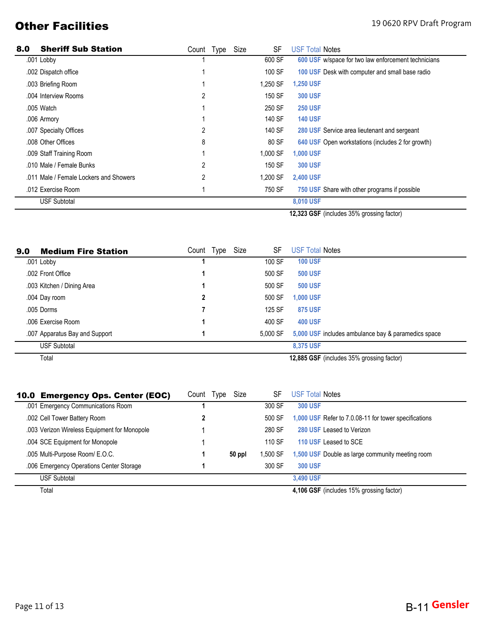# **Other Facilities** 19 0620 RPV Draft Program

| 8.0 | <b>Sheriff Sub Station</b>             | Count | Type | Size | SF       | <b>USF Total Notes</b>                              |
|-----|----------------------------------------|-------|------|------|----------|-----------------------------------------------------|
|     | .001 Lobby                             |       |      |      | 600 SF   | 600 USF w/space for two law enforcement technicians |
|     | .002 Dispatch office                   |       |      |      | 100 SF   | 100 USF Desk with computer and small base radio     |
|     | .003 Briefing Room                     |       |      |      | 1,250 SF | <b>1,250 USF</b>                                    |
|     | .004 Interview Rooms                   | 2     |      |      | 150 SF   | <b>300 USF</b>                                      |
|     | .005 Watch                             |       |      |      | 250 SF   | <b>250 USF</b>                                      |
|     | .006 Armory                            |       |      |      | 140 SF   | <b>140 USF</b>                                      |
|     | .007 Specialty Offices                 | 2     |      |      | 140 SF   | 280 USF Service area lieutenant and sergeant        |
|     | .008 Other Offices                     | 8     |      |      | 80 SF    | 640 USF Open workstations (includes 2 for growth)   |
|     | .009 Staff Training Room               |       |      |      | 1,000 SF | <b>1,000 USF</b>                                    |
|     | .010 Male / Female Bunks               | 2     |      |      | 150 SF   | <b>300 USF</b>                                      |
|     | .011 Male / Female Lockers and Showers | 2     |      |      | 1,200 SF | <b>2,400 USF</b>                                    |
|     | .012 Exercise Room                     |       |      |      | 750 SF   | 750 USF Share with other programs if possible       |
|     | <b>USF Subtotal</b>                    |       |      |      |          | 8,010 USF                                           |
|     |                                        |       |      |      |          | 43.333 CCE (includes 250) associng feeter)          |

**12,323 GSF** (includes 35% grossing factor)

| 9.0 | <b>Medium Fire Station</b>     | Count | Type | Size | SF       | <b>USF Total Notes</b>                              |
|-----|--------------------------------|-------|------|------|----------|-----------------------------------------------------|
|     | .001 Lobby                     |       |      |      | 100 SF   | <b>100 USF</b>                                      |
|     | .002 Front Office              |       |      |      | 500 SF   | <b>500 USF</b>                                      |
|     | .003 Kitchen / Dining Area     |       |      |      | 500 SF   | <b>500 USF</b>                                      |
|     | .004 Day room                  |       |      |      | 500 SF   | 1,000 USF                                           |
|     | .005 Dorms                     |       |      |      | 125 SF   | <b>875 USF</b>                                      |
|     | .006 Exercise Room             |       |      |      | 400 SF   | <b>400 USF</b>                                      |
|     | .007 Apparatus Bay and Support |       |      |      | 5.000 SF | 5,000 USF includes ambulance bay & paramedics space |
|     | <b>USF Subtotal</b>            |       |      |      |          | 8.375 USF                                           |
|     | Total                          |       |      |      |          | 12,885 GSF (includes 35% grossing factor)           |

| 10.0 Emergency Ops. Center (EOC)             | Count | Type | Size   | SF       | <b>USF Total Notes</b>                                |
|----------------------------------------------|-------|------|--------|----------|-------------------------------------------------------|
| .001 Emergency Communications Room           |       |      |        | 300 SF   | <b>300 USF</b>                                        |
| .002 Cell Tower Battery Room                 |       |      |        | 500 SF   | 1,000 USF Refer to 7.0.08-11 for tower specifications |
| .003 Verizon Wireless Equipment for Monopole |       |      |        | 280 SF   | 280 USF Leased to Verizon                             |
| .004 SCE Equipment for Monopole              |       |      |        | 110 SF   | 110 USF Leased to SCE                                 |
| .005 Multi-Purpose Room/ E.O.C.              |       |      | 50 ppl | 1,500 SF | 1,500 USF Double as large community meeting room      |
| .006 Emergency Operations Center Storage     |       |      |        | 300 SF   | <b>300 USF</b>                                        |
| <b>USF Subtotal</b>                          |       |      |        |          | 3.490 USF                                             |
| Total                                        |       |      |        |          | 4,106 GSF (includes 15% grossing factor)              |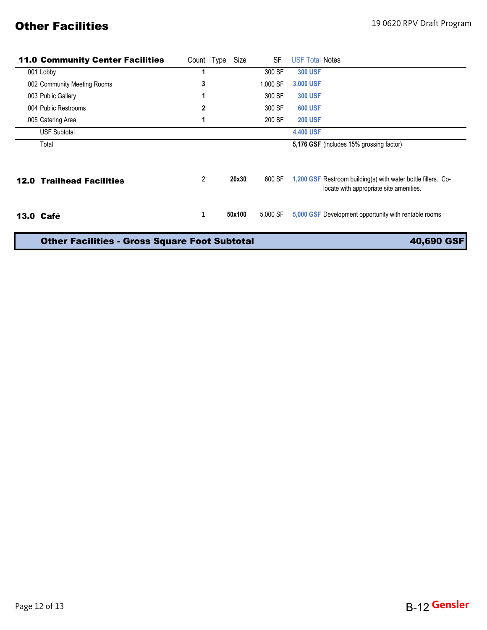# **Other Facilities** 19 0620 RPV Draft Program

| <b>11.0 Community Center Facilities</b>              | Count          | Type | Size   | SF       | <b>USF Total Notes</b>                                                                                   |
|------------------------------------------------------|----------------|------|--------|----------|----------------------------------------------------------------------------------------------------------|
| .001 Lobby                                           |                |      |        | 300 SF   | <b>300 USF</b>                                                                                           |
| .002 Community Meeting Rooms                         | 3              |      |        | 1,000 SF | 3,000 USF                                                                                                |
| .003 Public Gallery                                  |                |      |        | 300 SF   | <b>300 USF</b>                                                                                           |
| .004 Public Restrooms                                | 2              |      |        | 300 SF   | <b>600 USF</b>                                                                                           |
| .005 Catering Area                                   |                |      |        | 200 SF   | <b>200 USF</b>                                                                                           |
| <b>USF Subtotal</b>                                  |                |      |        |          | 4,400 USF                                                                                                |
| Total                                                |                |      |        |          | 5,176 GSF (includes 15% grossing factor)                                                                 |
| <b>12.0 Trailhead Facilities</b>                     | $\overline{2}$ |      | 20x30  | 600 SF   | 1,200 GSF Restroom building(s) with water bottle fillers. Co-<br>locate with appropriate site amenities. |
| <b>13.0 Café</b>                                     | 1              |      | 50x100 | 5.000 SF | 5,000 GSF Development opportunity with rentable rooms                                                    |
| <b>Other Facilities - Gross Square Foot Subtotal</b> | 40,690 GSF     |      |        |          |                                                                                                          |